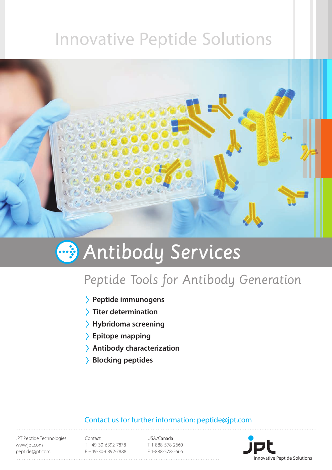## Innovative Peptide Solutions



# **Antibody Services**

### Peptide Tools for Antibody Generation

- **Peptide immunogens**
- **Titer determination**
- **Hybridoma screening**
- **Epitope mapping**
- **Antibody characterization**
- **Blocking peptides**

### Contact us for further information: peptide@jpt.com

JPT Peptide Technologies www.jpt.com peptide@jpt.com

Contact T +49-30-6392-7878 F +49-30-6392-7888

USA/Canada T 1-888-578-2660 F 1-888-578-2666

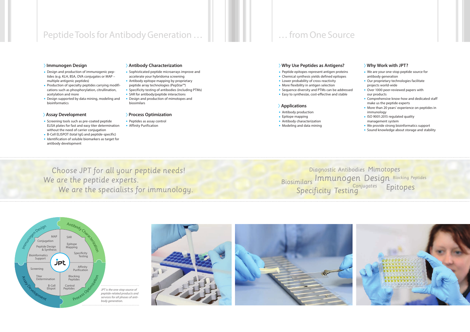### Peptide Tools for Antibody Generation … … from One Source

Choose JPT for all your peptide needs! We are the peptide experts. We are the specialists for immunology.

Diagnostic Antibodies Mimotopes Biosimilars Epitopes Immunogen Design Specificity Testing Blocking Peptides Conjugates







#### **Why Use Peptides as Antigens?**

- Peptide epitopes represent antigen proteins
- Chemical synthesis yields defined epitopes
- Lower probability of cross-reactivity
- More flexibility in antigen selection
- Sequence diversity and PTMs can be addressed
- Easy to synthesize, cost-effective and stable

#### **Applications**

- Antibody production
- Epitope mapping
- Antibody characterization
- Modeling and data mining

#### **Why Work with JPT?**

- We are your one-stop peptide source for antibody generation
- Our proprietary technologies facilitate projects world-wide
- Over 1000 peer-reviewed papers with our products
- Comprehensive know-how and dedicated staff make us the peptide experts
- More than 20 years' experience on peptides in immunology
- ISO 9001:2015 regulated quality management system
- We provide strong bioinformatics support
- Sound knowledge about storage and stability

#### **Immunogen Design**

- Design and production of immunogenic peptides (e.g. KLH, BSA, OVA conjugates or MAP – multiple antigenic peptides)
- Production of specialty peptides carrying modifications such as phosphorylation, citrullination, acetylation and more
- Design supported by data mining, modeling and bioinformatics

#### **Assay Development**

- Screening tools such as pre-coated peptide ELISA plates for fast and easy titer determination without the need of carrier conjugation
- B-Cell ELISPOT (total IgG and peptide-specific)
- Identification of soluble biomarkers as target for antibody development

#### **Antibody Characterization**

- Sophisticated peptide microarrays improve and accelerate your hybridoma screening
- Antibody epitope mapping by proprietary peptide array technologies (PepStar™)
- Specificity testing of antibodies (including PTMs)
- SAR for antibody/peptide interactions
- Design and production of mimotopes and biosimilars

#### **Process Optimization**

- Peptides as assay control
- Affinity Purification